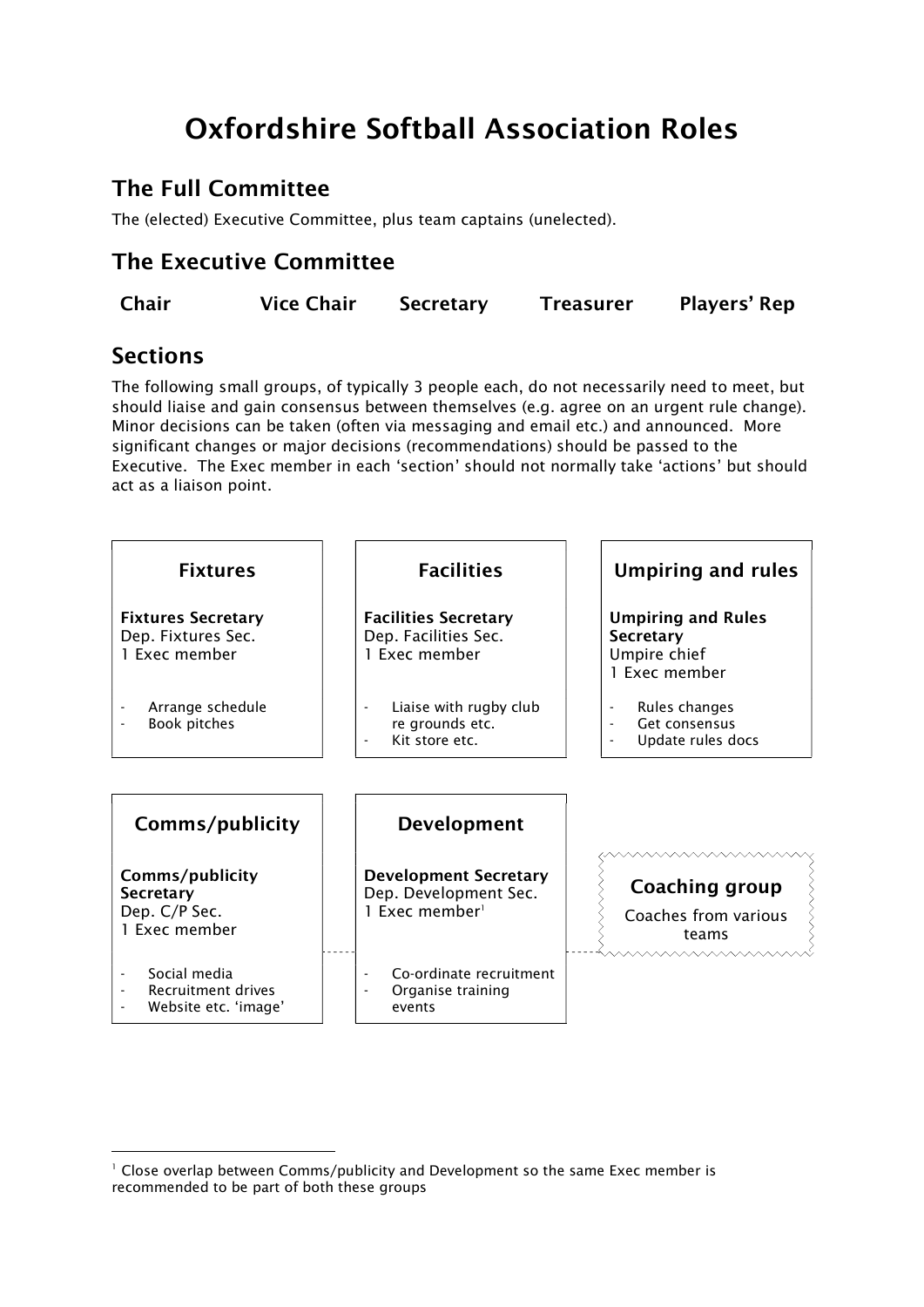# Oxfordshire Softball Association Roles

# The Full Committee

The (elected) Executive Committee, plus team captains (unelected).

# The Executive Committee

| Chair<br><b>Vice Chair</b> | Secretary | <b>Treasurer</b> | Players' Rep |
|----------------------------|-----------|------------------|--------------|
|----------------------------|-----------|------------------|--------------|

# **Sections**

1

The following small groups, of typically 3 people each, do not necessarily need to meet, but should liaise and gain consensus between themselves (e.g. agree on an urgent rule change). Minor decisions can be taken (often via messaging and email etc.) and announced. More significant changes or major decisions (recommendations) should be passed to the Executive. The Exec member in each 'section' should not normally take 'actions' but should act as a liaison point.



<sup>&</sup>lt;sup>1</sup> Close overlap between Comms/publicity and Development so the same Exec member is recommended to be part of both these groups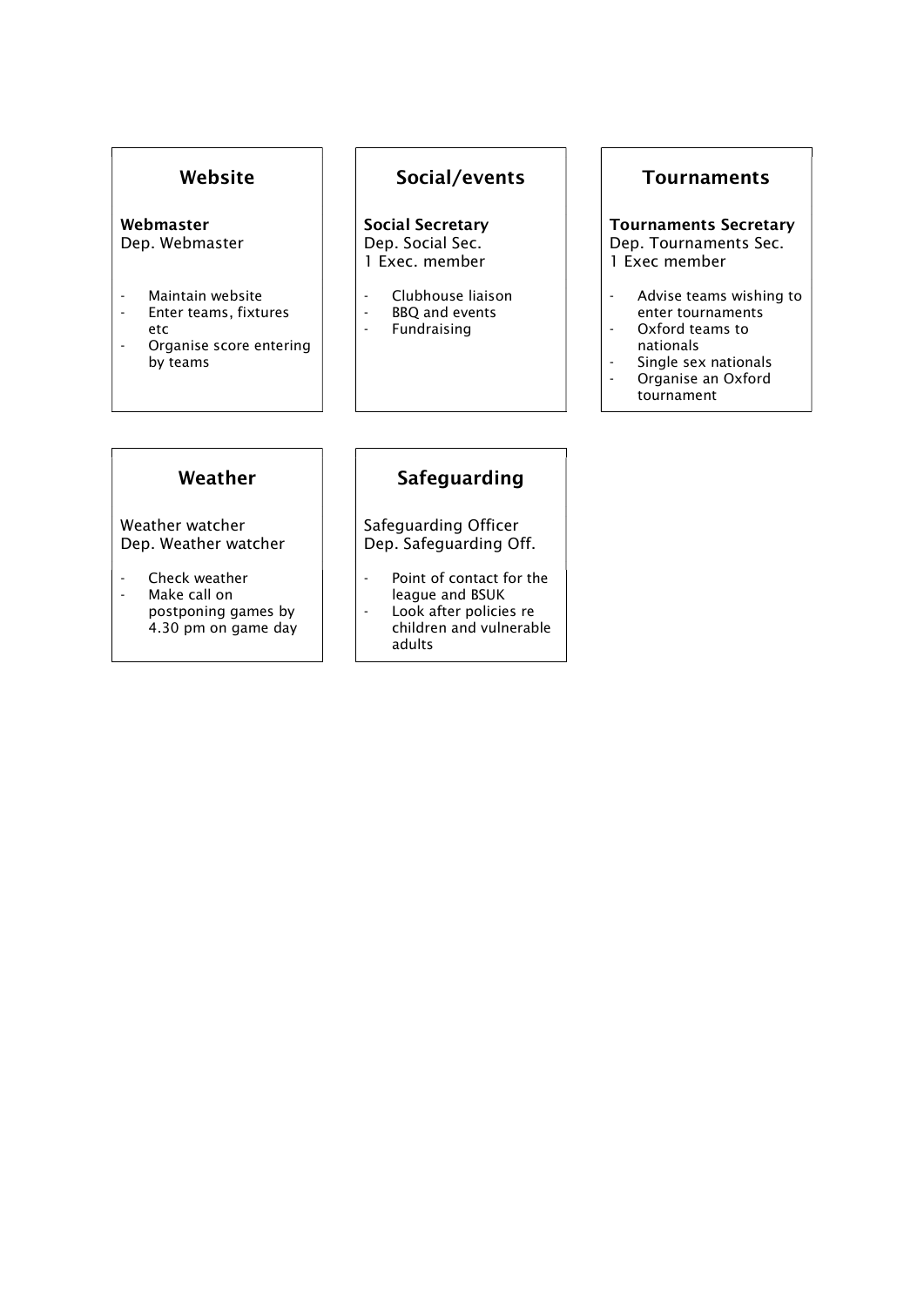#### Webmaster Dep. Webmaster

- Maintain website<br>- Fnter teams fixtu
- Enter teams, fixtures
- etc
- Organise score entering by teams

# Website | Social/events | Tournaments

Social Secretary Dep. Social Sec. 1 Exec. member

- Clubhouse liaison<br>- BBQ and events
- BBQ and events<br>- Fundraising
- **Fundraising**

Tournaments Secretary Dep. Tournaments Sec. 1 Exec member

- Advise teams wishing to enter tournaments
- Oxford teams to nationals
- Single sex nationals
- Organise an Oxford tournament

Weather watcher Dep. Weather watcher

- Check weather
- Make call on postponing games by 4.30 pm on game day

# Weather | Safeguarding

 Safeguarding Officer Dep. Safeguarding Off.

- Point of contact for the league and BSUK
- Look after policies re children and vulnerable adults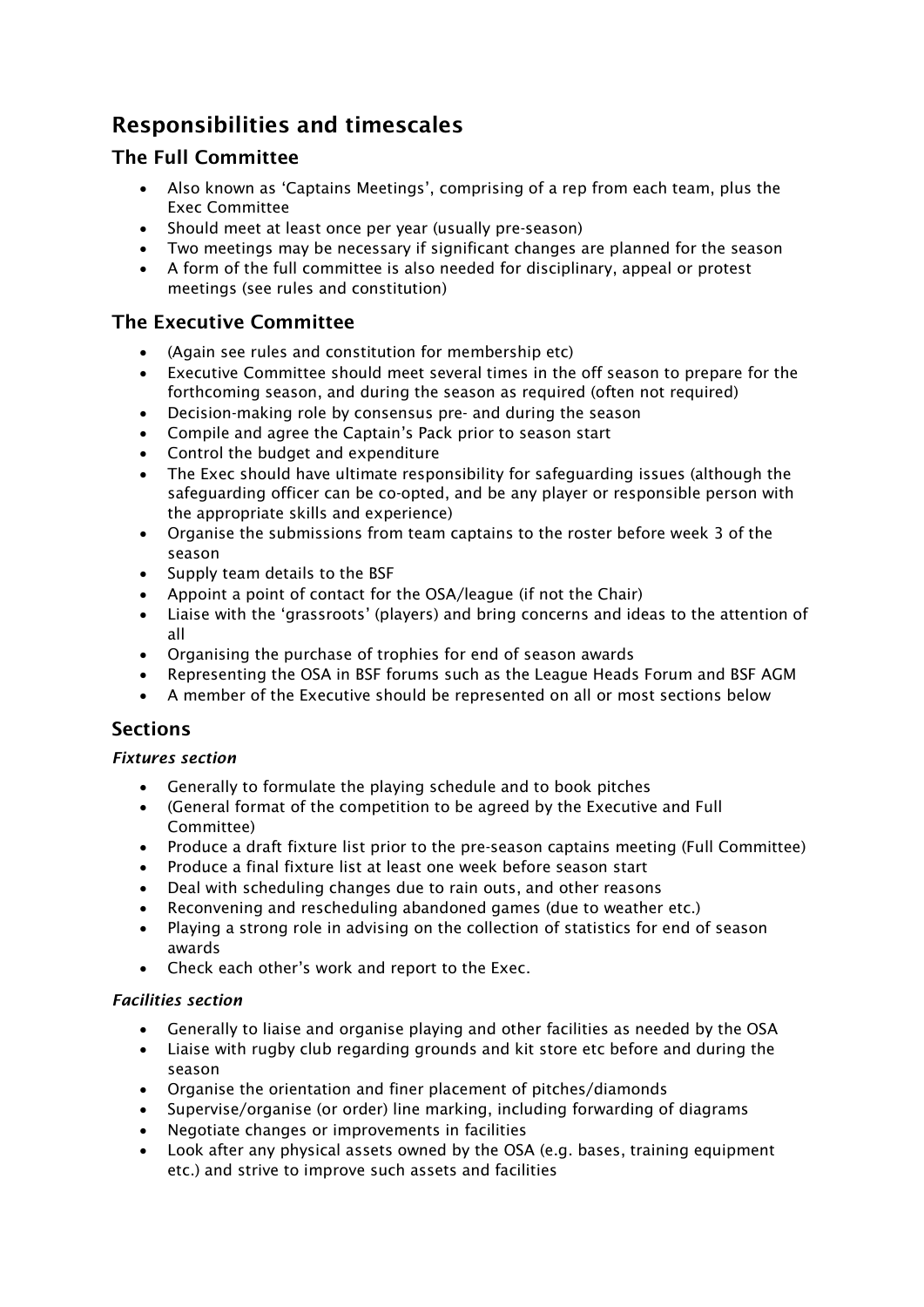# Responsibilities and timescales

# The Full Committee

- Also known as 'Captains Meetings', comprising of a rep from each team, plus the Exec Committee
- Should meet at least once per year (usually pre-season)
- Two meetings may be necessary if significant changes are planned for the season
- A form of the full committee is also needed for disciplinary, appeal or protest meetings (see rules and constitution)

# The Executive Committee

- (Again see rules and constitution for membership etc)
- Executive Committee should meet several times in the off season to prepare for the forthcoming season, and during the season as required (often not required)
- Decision-making role by consensus pre- and during the season
- Compile and agree the Captain's Pack prior to season start
- Control the budget and expenditure
- The Exec should have ultimate responsibility for safeguarding issues (although the safeguarding officer can be co-opted, and be any player or responsible person with the appropriate skills and experience)
- Organise the submissions from team captains to the roster before week 3 of the season
- Supply team details to the BSF
- Appoint a point of contact for the OSA/league (if not the Chair)
- Liaise with the 'grassroots' (players) and bring concerns and ideas to the attention of all
- Organising the purchase of trophies for end of season awards
- Representing the OSA in BSF forums such as the League Heads Forum and BSF AGM
- A member of the Executive should be represented on all or most sections below

# **Sections**

## Fixtures section

- Generally to formulate the playing schedule and to book pitches
- (General format of the competition to be agreed by the Executive and Full Committee)
- Produce a draft fixture list prior to the pre-season captains meeting (Full Committee)
- Produce a final fixture list at least one week before season start
- Deal with scheduling changes due to rain outs, and other reasons
- Reconvening and rescheduling abandoned games (due to weather etc.)
- Playing a strong role in advising on the collection of statistics for end of season awards
- Check each other's work and report to the Exec.

## Facilities section

- Generally to liaise and organise playing and other facilities as needed by the OSA
- Liaise with rugby club regarding grounds and kit store etc before and during the season
- Organise the orientation and finer placement of pitches/diamonds
- Supervise/organise (or order) line marking, including forwarding of diagrams
- Negotiate changes or improvements in facilities
- Look after any physical assets owned by the OSA (e.g. bases, training equipment etc.) and strive to improve such assets and facilities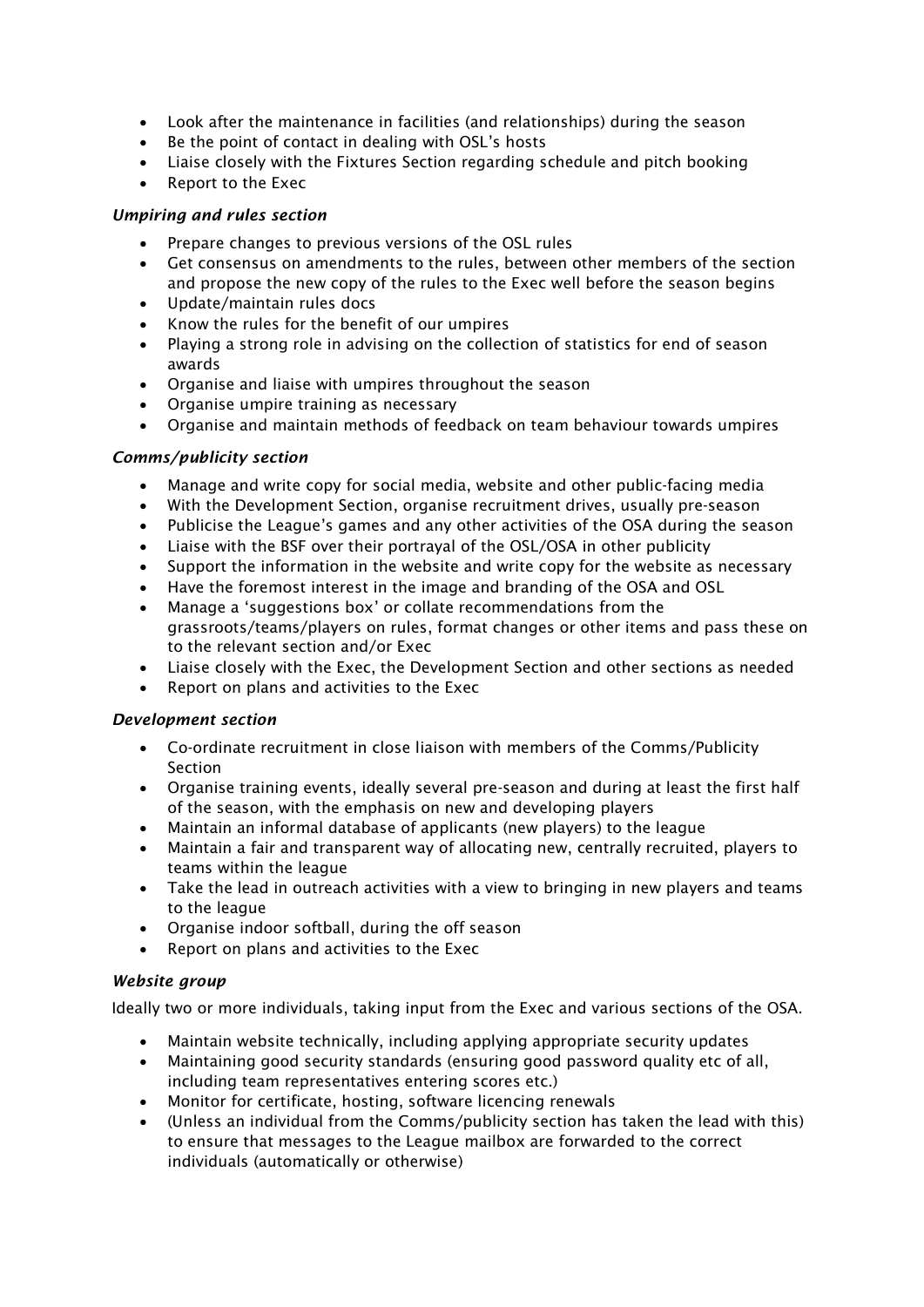- Look after the maintenance in facilities (and relationships) during the season
- Be the point of contact in dealing with OSL's hosts
- Liaise closely with the Fixtures Section regarding schedule and pitch booking
- Report to the Exec

#### Umpiring and rules section

- Prepare changes to previous versions of the OSL rules
- Get consensus on amendments to the rules, between other members of the section and propose the new copy of the rules to the Exec well before the season begins
- Update/maintain rules docs
- Know the rules for the benefit of our umpires
- Playing a strong role in advising on the collection of statistics for end of season awards
- Organise and liaise with umpires throughout the season
- Organise umpire training as necessary
- Organise and maintain methods of feedback on team behaviour towards umpires

## Comms/publicity section

- Manage and write copy for social media, website and other public-facing media
- With the Development Section, organise recruitment drives, usually pre-season
- Publicise the League's games and any other activities of the OSA during the season
- Liaise with the BSF over their portrayal of the OSL/OSA in other publicity
- Support the information in the website and write copy for the website as necessary
- Have the foremost interest in the image and branding of the OSA and OSL
- Manage a 'suggestions box' or collate recommendations from the grassroots/teams/players on rules, format changes or other items and pass these on to the relevant section and/or Exec
- Liaise closely with the Exec, the Development Section and other sections as needed
- Report on plans and activities to the Exec

## Development section

- Co-ordinate recruitment in close liaison with members of the Comms/Publicity **Section**
- Organise training events, ideally several pre-season and during at least the first half of the season, with the emphasis on new and developing players
- Maintain an informal database of applicants (new players) to the league
- Maintain a fair and transparent way of allocating new, centrally recruited, players to teams within the league
- Take the lead in outreach activities with a view to bringing in new players and teams to the league
- Organise indoor softball, during the off season
- Report on plans and activities to the Exec

#### Website group

Ideally two or more individuals, taking input from the Exec and various sections of the OSA.

- Maintain website technically, including applying appropriate security updates
- Maintaining good security standards (ensuring good password quality etc of all, including team representatives entering scores etc.)
- Monitor for certificate, hosting, software licencing renewals
- (Unless an individual from the Comms/publicity section has taken the lead with this) to ensure that messages to the League mailbox are forwarded to the correct individuals (automatically or otherwise)